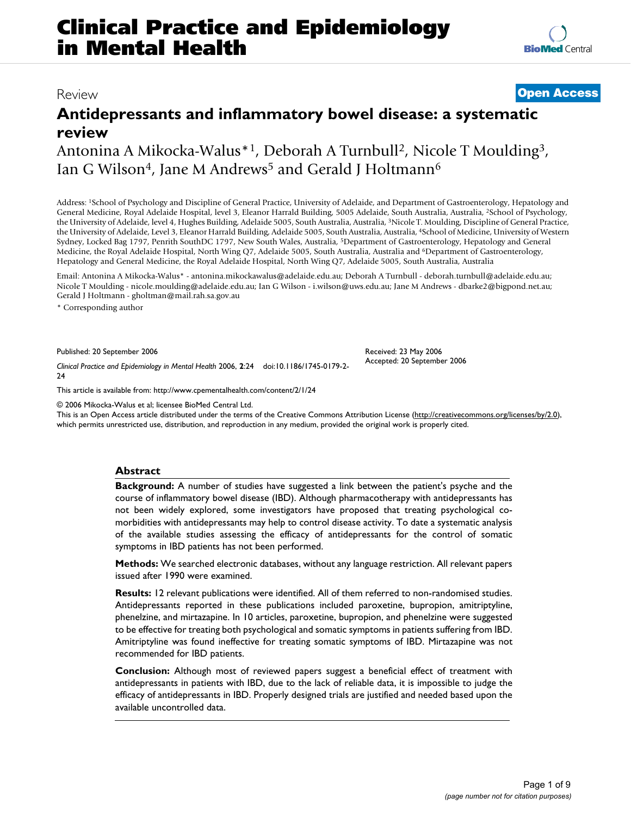# **Antidepressants and inflammatory bowel disease: a systematic review**

Antonina A Mikocka-Walus<sup>\*1</sup>, Deborah A Turnbull<sup>2</sup>, Nicole T Moulding<sup>3</sup>, Ian G Wilson<sup>4</sup>, Jane M Andrews<sup>5</sup> and Gerald J Holtmann<sup>6</sup>

Address: 1School of Psychology and Discipline of General Practice, University of Adelaide, and Department of Gastroenterology, Hepatology and General Medicine, Royal Adelaide Hospital, level 3, Eleanor Harrald Building, 5005 Adelaide, South Australia, Australia, 2School of Psychology, the University of Adelaide, level 4, Hughes Building, Adelaide 5005, South Australia, Australia, 3Nicole T. Moulding, Discipline of General Practice, the University of Adelaide, Level 3, Eleanor Harrald Building, Adelaide 5005, South Australia, Australia, 4School of Medicine, University of Western Sydney, Locked Bag 1797, Penrith SouthDC 1797, New South Wales, Australia, 5Department of Gastroenterology, Hepatology and General Medicine, the Royal Adelaide Hospital, North Wing Q7, Adelaide 5005, South Australia, Australia and 6Department of Gastroenterology, Hepatology and General Medicine, the Royal Adelaide Hospital, North Wing Q7, Adelaide 5005, South Australia, Australia

Email: Antonina A Mikocka-Walus\* - antonina.mikockawalus@adelaide.edu.au; Deborah A Turnbull - deborah.turnbull@adelaide.edu.au; Nicole T Moulding - nicole.moulding@adelaide.edu.au; Ian G Wilson - i.wilson@uws.edu.au; Jane M Andrews - dbarke2@bigpond.net.au; Gerald J Holtmann - gholtman@mail.rah.sa.gov.au

\* Corresponding author

Published: 20 September 2006

*Clinical Practice and Epidemiology in Mental Health* 2006, **2**:24 doi:10.1186/1745-0179-2-  $24$ 

[This article is available from: http://www.cpementalhealth.com/content/2/1/24](http://www.cpementalhealth.com/content/2/1/24)

© 2006 Mikocka-Walus et al; licensee BioMed Central Ltd.

This is an Open Access article distributed under the terms of the Creative Commons Attribution License [\(http://creativecommons.org/licenses/by/2.0\)](http://creativecommons.org/licenses/by/2.0), which permits unrestricted use, distribution, and reproduction in any medium, provided the original work is properly cited.

#### **Abstract**

**Background:** A number of studies have suggested a link between the patient's psyche and the course of inflammatory bowel disease (IBD). Although pharmacotherapy with antidepressants has not been widely explored, some investigators have proposed that treating psychological comorbidities with antidepressants may help to control disease activity. To date a systematic analysis of the available studies assessing the efficacy of antidepressants for the control of somatic symptoms in IBD patients has not been performed.

**Methods:** We searched electronic databases, without any language restriction. All relevant papers issued after 1990 were examined.

**Results:** 12 relevant publications were identified. All of them referred to non-randomised studies. Antidepressants reported in these publications included paroxetine, bupropion, amitriptyline, phenelzine, and mirtazapine. In 10 articles, paroxetine, bupropion, and phenelzine were suggested to be effective for treating both psychological and somatic symptoms in patients suffering from IBD. Amitriptyline was found ineffective for treating somatic symptoms of IBD. Mirtazapine was not recommended for IBD patients.

**Conclusion:** Although most of reviewed papers suggest a beneficial effect of treatment with antidepressants in patients with IBD, due to the lack of reliable data, it is impossible to judge the efficacy of antidepressants in IBD. Properly designed trials are justified and needed based upon the available uncontrolled data.



# Review **[Open Access](http://www.biomedcentral.com/info/about/charter/)**

Received: 23 May 2006 Accepted: 20 September 2006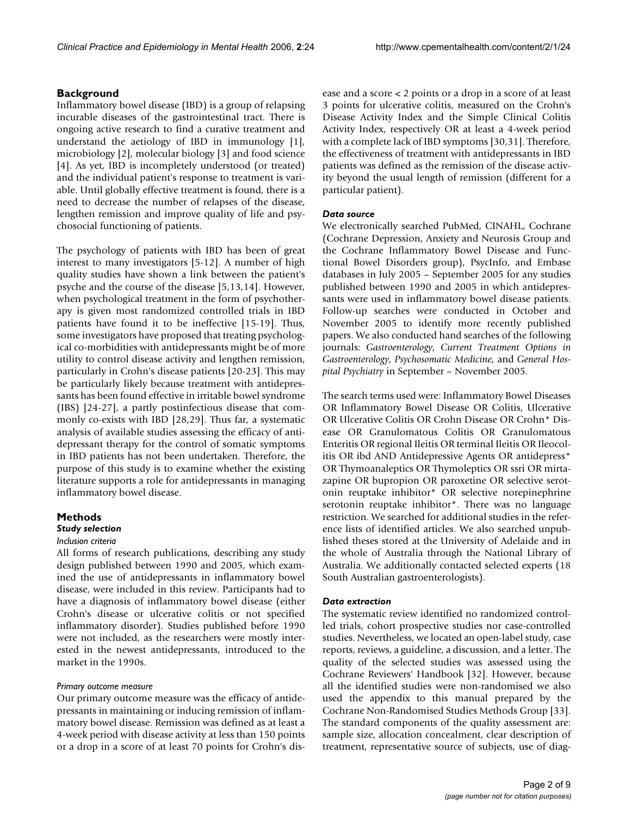# **Background**

Inflammatory bowel disease (IBD) is a group of relapsing incurable diseases of the gastrointestinal tract. There is ongoing active research to find a curative treatment and understand the aetiology of IBD in immunology [1], microbiology [2], molecular biology [3] and food science [4]. As yet, IBD is incompletely understood (or treated) and the individual patient's response to treatment is variable. Until globally effective treatment is found, there is a need to decrease the number of relapses of the disease, lengthen remission and improve quality of life and psychosocial functioning of patients.

The psychology of patients with IBD has been of great interest to many investigators [5-12]. A number of high quality studies have shown a link between the patient's psyche and the course of the disease [5,13,14]. However, when psychological treatment in the form of psychotherapy is given most randomized controlled trials in IBD patients have found it to be ineffective [15-19]. Thus, some investigators have proposed that treating psychological co-morbidities with antidepressants might be of more utility to control disease activity and lengthen remission, particularly in Crohn's disease patients [20-23]. This may be particularly likely because treatment with antidepressants has been found effective in irritable bowel syndrome (IBS) [24-27], a partly postinfectious disease that commonly co-exists with IBD [28,29]. Thus far, a systematic analysis of available studies assessing the efficacy of antidepressant therapy for the control of somatic symptoms in IBD patients has not been undertaken. Therefore, the purpose of this study is to examine whether the existing literature supports a role for antidepressants in managing inflammatory bowel disease.

#### **Methods**

### *Study selection*

#### *Inclusion criteria*

All forms of research publications, describing any study design published between 1990 and 2005, which examined the use of antidepressants in inflammatory bowel disease, were included in this review. Participants had to have a diagnosis of inflammatory bowel disease (either Crohn's disease or ulcerative colitis or not specified inflammatory disorder). Studies published before 1990 were not included, as the researchers were mostly interested in the newest antidepressants, introduced to the market in the 1990s.

#### *Primary outcome measure*

Our primary outcome measure was the efficacy of antidepressants in maintaining or inducing remission of inflammatory bowel disease. Remission was defined as at least a 4-week period with disease activity at less than 150 points or a drop in a score of at least 70 points for Crohn's disease and a score < 2 points or a drop in a score of at least 3 points for ulcerative colitis, measured on the Crohn's Disease Activity Index and the Simple Clinical Colitis Activity Index, respectively OR at least a 4-week period with a complete lack of IBD symptoms [30,31]. Therefore, the effectiveness of treatment with antidepressants in IBD patients was defined as the remission of the disease activity beyond the usual length of remission (different for a particular patient).

#### *Data source*

We electronically searched PubMed, CINAHL, Cochrane (Cochrane Depression, Anxiety and Neurosis Group and the Cochrane Inflammatory Bowel Disease and Functional Bowel Disorders group), PsycInfo, and Embase databases in July 2005 – September 2005 for any studies published between 1990 and 2005 in which antidepressants were used in inflammatory bowel disease patients. Follow-up searches were conducted in October and November 2005 to identify more recently published papers. We also conducted hand searches of the following journals: *Gastroenterology*, *Current Treatment Options in Gastroenterology*, *Psychosomatic Medicine*, and *General Hospital Psychiatry* in September – November 2005.

The search terms used were: Inflammatory Bowel Diseases OR Inflammatory Bowel Disease OR Colitis, Ulcerative OR Ulcerative Colitis OR Crohn Disease OR Crohn\* Disease OR Granulomatous Colitis OR Granulomatous Enteritis OR regional Ileitis OR terminal Ileitis OR Ileocolitis OR ibd AND Antidepressive Agents OR antidepress\* OR Thymoanaleptics OR Thymoleptics OR ssri OR mirtazapine OR bupropion OR paroxetine OR selective serotonin reuptake inhibitor\* OR selective norepinephrine serotonin reuptake inhibitor\*. There was no language restriction. We searched for additional studies in the reference lists of identified articles. We also searched unpublished theses stored at the University of Adelaide and in the whole of Australia through the National Library of Australia. We additionally contacted selected experts (18 South Australian gastroenterologists).

#### *Data extraction*

The systematic review identified no randomized controlled trials, cohort prospective studies nor case-controlled studies. Nevertheless, we located an open-label study, case reports, reviews, a guideline, a discussion, and a letter. The quality of the selected studies was assessed using the Cochrane Reviewers' Handbook [32]. However, because all the identified studies were non-randomised we also used the appendix to this manual prepared by the Cochrane Non-Randomised Studies Methods Group [33]. The standard components of the quality assessment are: sample size, allocation concealment, clear description of treatment, representative source of subjects, use of diag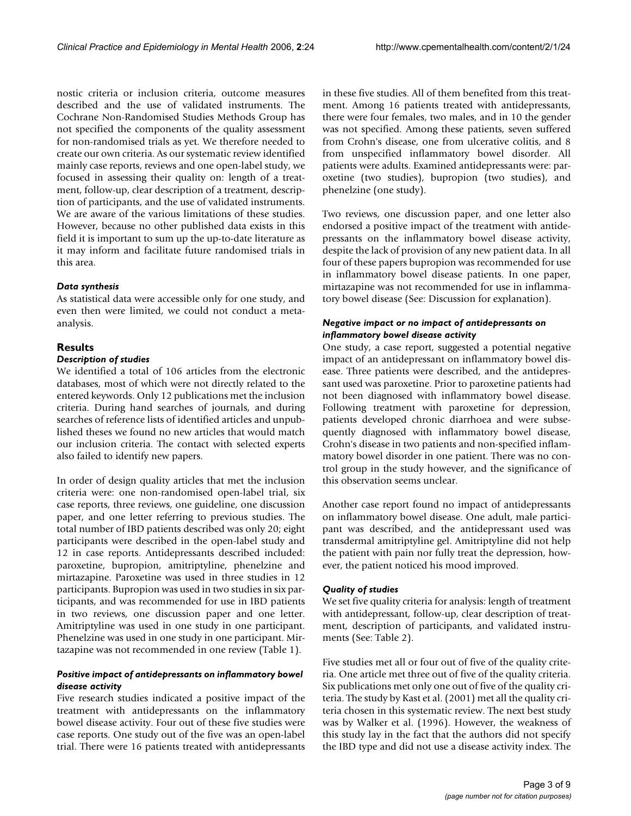nostic criteria or inclusion criteria, outcome measures described and the use of validated instruments. The Cochrane Non-Randomised Studies Methods Group has not specified the components of the quality assessment for non-randomised trials as yet. We therefore needed to create our own criteria. As our systematic review identified mainly case reports, reviews and one open-label study, we focused in assessing their quality on: length of a treatment, follow-up, clear description of a treatment, description of participants, and the use of validated instruments. We are aware of the various limitations of these studies. However, because no other published data exists in this field it is important to sum up the up-to-date literature as it may inform and facilitate future randomised trials in this area.

# *Data synthesis*

As statistical data were accessible only for one study, and even then were limited, we could not conduct a metaanalysis.

# **Results**

# *Description of studies*

We identified a total of 106 articles from the electronic databases, most of which were not directly related to the entered keywords. Only 12 publications met the inclusion criteria. During hand searches of journals, and during searches of reference lists of identified articles and unpublished theses we found no new articles that would match our inclusion criteria. The contact with selected experts also failed to identify new papers.

In order of design quality articles that met the inclusion criteria were: one non-randomised open-label trial, six case reports, three reviews, one guideline, one discussion paper, and one letter referring to previous studies. The total number of IBD patients described was only 20; eight participants were described in the open-label study and 12 in case reports. Antidepressants described included: paroxetine, bupropion, amitriptyline, phenelzine and mirtazapine. Paroxetine was used in three studies in 12 participants. Bupropion was used in two studies in six participants, and was recommended for use in IBD patients in two reviews, one discussion paper and one letter. Amitriptyline was used in one study in one participant. Phenelzine was used in one study in one participant. Mirtazapine was not recommended in one review (Table 1).

# *Positive impact of antidepressants on inflammatory bowel disease activity*

Five research studies indicated a positive impact of the treatment with antidepressants on the inflammatory bowel disease activity. Four out of these five studies were case reports. One study out of the five was an open-label trial. There were 16 patients treated with antidepressants

in these five studies. All of them benefited from this treatment. Among 16 patients treated with antidepressants, there were four females, two males, and in 10 the gender was not specified. Among these patients, seven suffered from Crohn's disease, one from ulcerative colitis, and 8 from unspecified inflammatory bowel disorder. All patients were adults. Examined antidepressants were: paroxetine (two studies), bupropion (two studies), and phenelzine (one study).

Two reviews, one discussion paper, and one letter also endorsed a positive impact of the treatment with antidepressants on the inflammatory bowel disease activity, despite the lack of provision of any new patient data. In all four of these papers bupropion was recommended for use in inflammatory bowel disease patients. In one paper, mirtazapine was not recommended for use in inflammatory bowel disease (See: Discussion for explanation).

# *Negative impact or no impact of antidepressants on inflammatory bowel disease activity*

One study, a case report, suggested a potential negative impact of an antidepressant on inflammatory bowel disease. Three patients were described, and the antidepressant used was paroxetine. Prior to paroxetine patients had not been diagnosed with inflammatory bowel disease. Following treatment with paroxetine for depression, patients developed chronic diarrhoea and were subsequently diagnosed with inflammatory bowel disease, Crohn's disease in two patients and non-specified inflammatory bowel disorder in one patient. There was no control group in the study however, and the significance of this observation seems unclear.

Another case report found no impact of antidepressants on inflammatory bowel disease. One adult, male participant was described, and the antidepressant used was transdermal amitriptyline gel. Amitriptyline did not help the patient with pain nor fully treat the depression, however, the patient noticed his mood improved.

# *Quality of studies*

We set five quality criteria for analysis: length of treatment with antidepressant, follow-up, clear description of treatment, description of participants, and validated instruments (See: Table 2).

Five studies met all or four out of five of the quality criteria. One article met three out of five of the quality criteria. Six publications met only one out of five of the quality criteria. The study by Kast et al. (2001) met all the quality criteria chosen in this systematic review. The next best study was by Walker et al. (1996). However, the weakness of this study lay in the fact that the authors did not specify the IBD type and did not use a disease activity index. The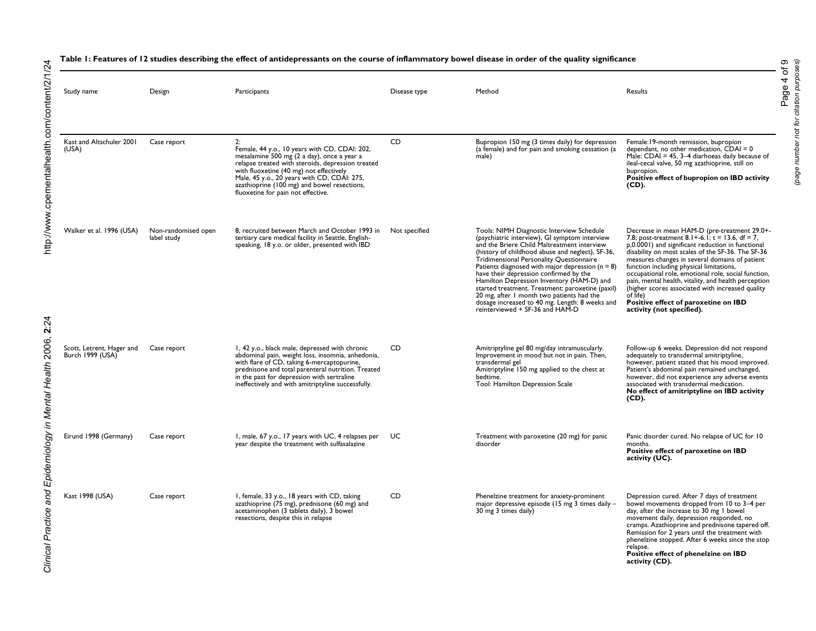| Study name                                    | Design                             | Participants                                                                                                                                                                                                                                                                                                                          | Disease type | Method                                                                                                                                                                                                                                                                                                                                                                                                                                                                                                                                                                         | Results                                                                                                                                                                                                                                                                                                                                                                                                                                                                                                                                                        |
|-----------------------------------------------|------------------------------------|---------------------------------------------------------------------------------------------------------------------------------------------------------------------------------------------------------------------------------------------------------------------------------------------------------------------------------------|--------------|--------------------------------------------------------------------------------------------------------------------------------------------------------------------------------------------------------------------------------------------------------------------------------------------------------------------------------------------------------------------------------------------------------------------------------------------------------------------------------------------------------------------------------------------------------------------------------|----------------------------------------------------------------------------------------------------------------------------------------------------------------------------------------------------------------------------------------------------------------------------------------------------------------------------------------------------------------------------------------------------------------------------------------------------------------------------------------------------------------------------------------------------------------|
| Kast and Altschuler 2001<br>(USA)             | Case report                        | 2:<br>Female, 44 y.o., 10 years with CD, CDAI: 202,<br>mesalamine 500 mg (2 a day), once a year a<br>relapse treated with steroids, depression treated<br>with fluoxetine (40 mg) not effectively<br>Male, 45 y.o., 20 years with CD, CDAI: 275,<br>azathioprine (100 mg) and bowel resections,<br>fluoxetine for pain not effective. | <b>CD</b>    | Bupropion 150 mg (3 times daily) for depression<br>(a female) and for pain and smoking cessation (a<br>male)                                                                                                                                                                                                                                                                                                                                                                                                                                                                   | Female: 19-month remission, bupropion<br>dependant, no other medication, $CDAI = 0$<br>Male: $CDAI = 45$ , $3-4$ diarhoeas daily because of<br>ileal-cecal valve, 50 mg azathioprine, still on<br>bupropion.<br>Positive effect of bupropion on IBD activity<br>(CD).                                                                                                                                                                                                                                                                                          |
| Walker et al. 1996 (USA)                      | Non-randomised open<br>label study | 8, recruited between March and October 1993 in Not specified<br>tertiary care medical facility in Seattle, English-<br>speaking, 18 y.o. or older, presented with IBD                                                                                                                                                                 |              | Tools: NIMH Diagnostic Interview Schedule<br>(psychiatric interview), GI symptom interview<br>and the Briere Child Maltreatment interview<br>(history of childhood abuse and neglect), SF-36,<br>Tridimensional Personality Questionnaire<br>Patients diagnosed with major depression ( $n = 8$ )<br>have their depression confirmed by the<br>Hamilton Depression Inventory (HAM-D) and<br>started treatment. Treatment: paroxetine (paxil)<br>20 mg, after I month two patients had the<br>dosage increased to 40 mg. Length: 8 weeks and<br>reinterviewed + SF-36 and HAM-D | Decrease in mean HAM-D (pre-treatment 29.0+-<br>7.8; post-treatment 8.1+-6.1; $t = 13.6$ , df = 7,<br>p,0.0001) and significant reduction in functional<br>disability on most scales of the SF-36. The SF-36<br>measures changes in several domains of patient<br>function including physical limitations,<br>occupational role, emotional role, social function,<br>pain, mental health, vitality, and health perception<br>(higher scores associated with increased quality<br>of life)<br>Positive effect of paroxetine on IBD<br>activity (not specified). |
| Scott, Letrent, Hager and<br>Burch 1999 (USA) | Case report                        | 1, 42 y.o., black male, depressed with chronic<br>abdominal pain, weight loss, insomnia, anhedonia,<br>with flare of CD, taking 6-mercaptopurine,<br>prednisone and total parenteral nutrition. Treated<br>in the past for depression with sertraline<br>ineffectively and with amitriptyline successfully.                           | CD.          | Amitriptyline gel 80 mg/day intramuscularly.<br>Improvement in mood but not in pain. Then,<br>transdermal gel<br>Amitriptyline 150 mg applied to the chest at<br>bedtime.<br>Tool: Hamilton Depression Scale                                                                                                                                                                                                                                                                                                                                                                   | Follow-up 6 weeks. Depression did not respond<br>adequately to transdermal amitriptyline,<br>however, patient stated that his mood improved.<br>Patient's abdominal pain remained unchanged,<br>however, did not experience any adverse events<br>associated with transdermal medication.<br>No effect of amitriptyline on IBD activity<br>$(CD)$ .                                                                                                                                                                                                            |
| Eirund 1998 (Germany)                         | Case report                        | I, male, 67 y.o., 17 years with UC, 4 relapses per<br>year despite the treatment with sulfasalazine                                                                                                                                                                                                                                   | UC.          | Treatment with paroxetine (20 mg) for panic<br>disorder                                                                                                                                                                                                                                                                                                                                                                                                                                                                                                                        | Panic disorder cured. No relapse of UC for 10<br>months.<br>Positive effect of paroxetine on IBD<br>activity (UC).                                                                                                                                                                                                                                                                                                                                                                                                                                             |
| Kast 1998 (USA)                               | Case report                        | I, female, 33 y.o., 18 years with CD, taking<br>azathioprine (75 mg), prednisone (60 mg) and<br>acetaminophen (3 tablets daily), 3 bowel<br>resections, despite this in relapse                                                                                                                                                       | CD.          | Phenelzine treatment for anxiety-prominent<br>major depressive episode (15 mg 3 times daily -<br>30 mg 3 times daily)                                                                                                                                                                                                                                                                                                                                                                                                                                                          | Depression cured. After 7 days of treatment<br>bowel movements dropped from 10 to 3-4 per<br>day, after the increase to 30 mg I bowel<br>movement daily, depression responded, no<br>cramps. Azathioprine and prednisone tapered off.<br>Remission for 2 years until the treatment with<br>phenelzine stopped. After 6 weeks since the stop<br>relapse.<br>Positive effect of phenelzine on IBD<br>activity (CD).                                                                                                                                              |

**Table 1: Features of 12 studies describing the effect of antidepressants on the course of inflammatory bowel disease in order of the quality significance**

http://www.cpementalhealth.com/content/2/1/24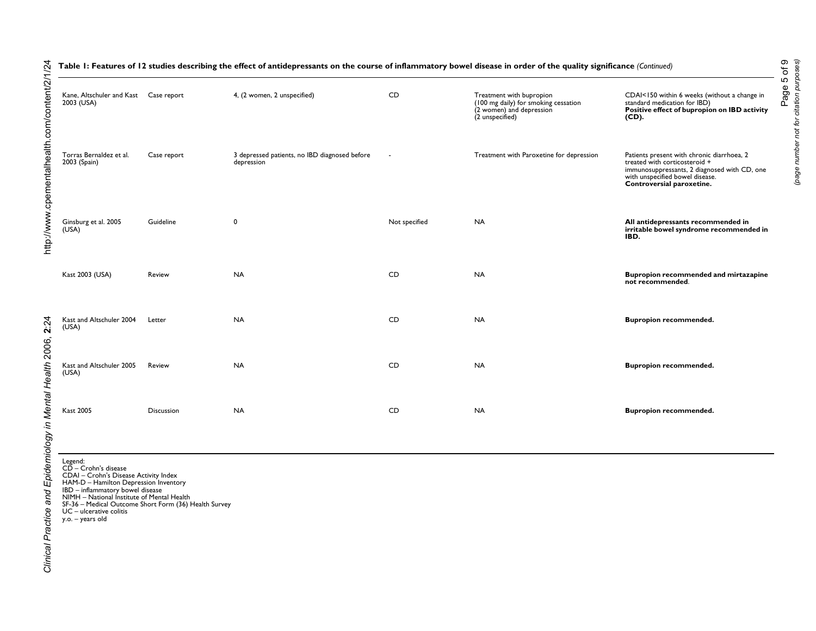| Kane, Altschuler and Kast Case report<br>2003 (USA)                                                                                                                                                                                                                                                           |             | 4, (2 women, 2 unspecified)                                 | CD            | Treatment with bupropion<br>(100 mg daily) for smoking cessation<br>(2 women) and depression<br>(2 unspecified) | CDAI<150 within 6 weeks (without a change in<br>standard medication for IBD)<br>Positive effect of bupropion on IBD activity<br>(CD).                                                       |
|---------------------------------------------------------------------------------------------------------------------------------------------------------------------------------------------------------------------------------------------------------------------------------------------------------------|-------------|-------------------------------------------------------------|---------------|-----------------------------------------------------------------------------------------------------------------|---------------------------------------------------------------------------------------------------------------------------------------------------------------------------------------------|
| Torras Bernaldez et al.<br>2003 (Spain)                                                                                                                                                                                                                                                                       | Case report | 3 depressed patients, no IBD diagnosed before<br>depression | $\sim$        | Treatment with Paroxetine for depression                                                                        | Patients present with chronic diarrhoea, 2<br>treated with corticosteroid +<br>immunosuppressants, 2 diagnosed with CD, one<br>with unspecified bowel disease.<br>Controversial paroxetine. |
| Ginsburg et al. 2005<br>(USA)                                                                                                                                                                                                                                                                                 | Guideline   | $\mathbf 0$                                                 | Not specified | <b>NA</b>                                                                                                       | All antidepressants recommended in<br>irritable bowel syndrome recommended in<br>IBD.                                                                                                       |
| Kast 2003 (USA)                                                                                                                                                                                                                                                                                               | Review      | <b>NA</b>                                                   | CD            | <b>NA</b>                                                                                                       | <b>Bupropion recommended and mirtazapine</b><br>not recommended.                                                                                                                            |
| Kast and Altschuler 2004<br>(USA)                                                                                                                                                                                                                                                                             | Letter      | <b>NA</b>                                                   | CD            | <b>NA</b>                                                                                                       | <b>Bupropion recommended.</b>                                                                                                                                                               |
| Kast and Altschuler 2005<br>(USA)                                                                                                                                                                                                                                                                             | Review      | <b>NA</b>                                                   | CD            | <b>NA</b>                                                                                                       | <b>Bupropion recommended.</b>                                                                                                                                                               |
| <b>Kast 2005</b>                                                                                                                                                                                                                                                                                              | Discussion  | <b>NA</b>                                                   | CD            | <b>NA</b>                                                                                                       | <b>Bupropion recommended.</b>                                                                                                                                                               |
| Legend:<br>CD - Crohn's disease<br>CDAI - Crohn's Disease Activity Index<br>HAM-D - Hamilton Depression Inventory<br>IBD - inflammatory bowel disease<br>NIMH - National Institute of Mental Health<br>SF-36 - Medical Outcome Short Form (36) Health Survey<br>$UC$ – ulcerative colitis<br>y.o. - years old |             |                                                             |               |                                                                                                                 |                                                                                                                                                                                             |

Page 5 of 9

*(page number not for citation purposes)*

Page number not for citation purposes)<br>(page number not for citation purposes)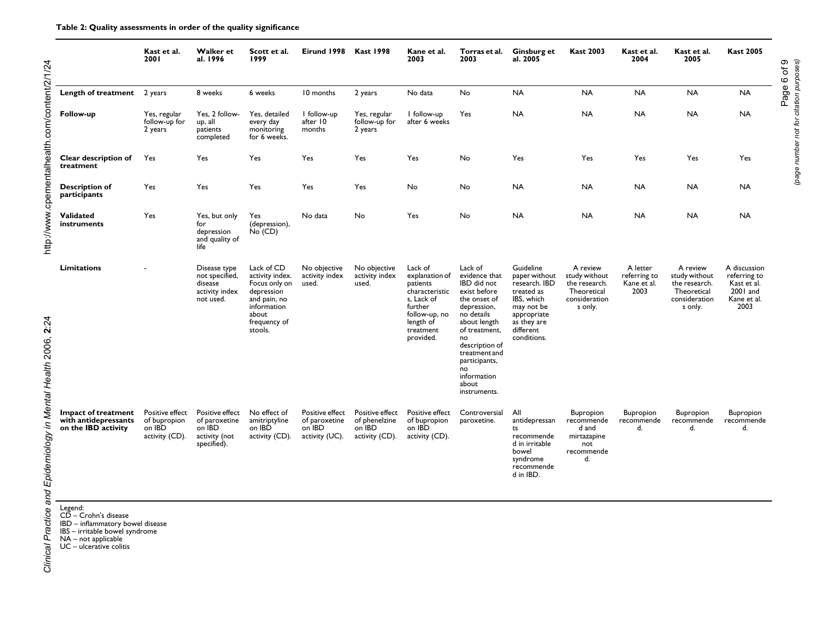|                                                                                                                                                             | Kast et al.<br>2001                                         | <b>Walker et</b><br>al. 1996                                               | Scott et al.<br>1999                                                                                                            | Eirund 1998                                                  | <b>Kast 1998</b>                                             | Kane et al.<br>2003                                                                                                                      | Torras et al.<br>2003                                                                                                                                                                                                                         | Ginsburg et<br>al. 2005                                                                                                                         | <b>Kast 2003</b>                                                                      | Kast et al.<br>2004                             | Kast et al.<br>2005                                                                   | <b>Kast 2005</b>                                                               |
|-------------------------------------------------------------------------------------------------------------------------------------------------------------|-------------------------------------------------------------|----------------------------------------------------------------------------|---------------------------------------------------------------------------------------------------------------------------------|--------------------------------------------------------------|--------------------------------------------------------------|------------------------------------------------------------------------------------------------------------------------------------------|-----------------------------------------------------------------------------------------------------------------------------------------------------------------------------------------------------------------------------------------------|-------------------------------------------------------------------------------------------------------------------------------------------------|---------------------------------------------------------------------------------------|-------------------------------------------------|---------------------------------------------------------------------------------------|--------------------------------------------------------------------------------|
| Length of treatment                                                                                                                                         | 2 years                                                     | 8 weeks                                                                    | 6 weeks                                                                                                                         | 10 months                                                    | 2 years                                                      | No data                                                                                                                                  | No                                                                                                                                                                                                                                            | <b>NA</b>                                                                                                                                       | <b>NA</b>                                                                             | <b>NA</b>                                       | <b>NA</b>                                                                             | <b>NA</b>                                                                      |
| Follow-up                                                                                                                                                   | Yes, regular<br>follow-up for<br>2 years                    | Yes, 2 follow-<br>up, all<br>patients<br>completed                         | Yes, detailed<br>every day<br>monitoring<br>for 6 weeks.                                                                        | I follow-up<br>after 10<br>months                            | Yes, regular<br>follow-up for<br>2 years                     | I follow-up<br>after 6 weeks                                                                                                             | Yes                                                                                                                                                                                                                                           | <b>NA</b>                                                                                                                                       | <b>NA</b>                                                                             | <b>NA</b>                                       | <b>NA</b>                                                                             | <b>NA</b>                                                                      |
| Clear description of<br>treatment                                                                                                                           | Yes                                                         | Yes                                                                        | Yes                                                                                                                             | Yes                                                          | Yes                                                          | Yes                                                                                                                                      | No                                                                                                                                                                                                                                            | Yes                                                                                                                                             | Yes                                                                                   | Yes                                             | Yes                                                                                   | Yes                                                                            |
| <b>Description of</b><br>participants                                                                                                                       | Yes                                                         | Yes                                                                        | Yes                                                                                                                             | Yes                                                          | Yes                                                          | No                                                                                                                                       | No                                                                                                                                                                                                                                            | <b>NA</b>                                                                                                                                       | <b>NA</b>                                                                             | <b>NA</b>                                       | <b>NA</b>                                                                             | <b>NA</b>                                                                      |
| Validated<br>instruments                                                                                                                                    | Yes                                                         | Yes, but only<br>for<br>depression<br>and quality of<br>life               | Yes<br>(depression),<br>$No$ $(CD)$                                                                                             | No data                                                      | No                                                           | Yes                                                                                                                                      | No                                                                                                                                                                                                                                            | <b>NA</b>                                                                                                                                       | <b>NA</b>                                                                             | <b>NA</b>                                       | <b>NA</b>                                                                             | <b>NA</b>                                                                      |
| Limitations                                                                                                                                                 |                                                             | Disease type<br>not specified,<br>disease<br>activity index<br>not used.   | Lack of CD<br>activity index.<br>Focus only on<br>depression<br>and pain, no<br>information<br>about<br>frequency of<br>stools. | No objective<br>activity index<br>used.                      | No objective<br>activity index<br>used.                      | Lack of<br>explanation of<br>patients<br>characteristic<br>s. Lack of<br>further<br>follow-up, no<br>length of<br>treatment<br>provided. | Lack of<br>evidence that<br>IBD did not<br>exist before<br>the onset of<br>depression,<br>no details<br>about length<br>of treatment,<br>no<br>description of<br>treatment and<br>participants,<br>no<br>information<br>about<br>instruments. | Guideline<br>paper without<br>research. IBD<br>treated as<br>IBS, which<br>may not be<br>appropriate<br>as they are<br>different<br>conditions. | A review<br>study without<br>the research.<br>Theoretical<br>consideration<br>s only. | A letter<br>referring to<br>Kane et al.<br>2003 | A review<br>study without<br>the research.<br>Theoretical<br>consideration<br>s only. | A discussion<br>referring to<br>Kast et al.<br>2001 and<br>Kane et al.<br>2003 |
| Impact of treatment<br>with antidepressants<br>on the IBD activity                                                                                          | Positive effect<br>of bupropion<br>on IBD<br>activity (CD). | Positive effect<br>of paroxetine<br>on IBD<br>activity (not<br>specified). | No effect of<br>amitriptyline<br>on IBD<br>activity (CD).                                                                       | Positive effect<br>of paroxetine<br>on IBD<br>activity (UC). | Positive effect<br>of phenelzine<br>on IBD<br>activity (CD). | Positive effect<br>of bupropion<br>on IBD<br>activity (CD).                                                                              | Controversial<br>paroxetine.                                                                                                                                                                                                                  | All<br>antidepressan<br>ts<br>recommende<br>d in irritable<br>bowel<br>syndrome<br>recommende<br>d in IBD.                                      | <b>Bupropion</b><br>recommende<br>d and<br>mirtazapine<br>not<br>recommende<br>d.     | <b>Bupropion</b><br>recommende<br>d.            | <b>Bupropion</b><br>recommende<br>d.                                                  | Bupropion<br>recommende<br>d.                                                  |
| Legend:<br>CD - Crohn's disease<br>IBD - inflammatory bowel disease<br>IBS - irritable bowel syndrome<br>$NA$ – not applicable<br>$UC$ – ulcerative colitis |                                                             |                                                                            |                                                                                                                                 |                                                              |                                                              |                                                                                                                                          |                                                                                                                                                                                                                                               |                                                                                                                                                 |                                                                                       |                                                 |                                                                                       |                                                                                |

Page 6 of 9

*(page number not for citation purposes)*

Page number not for citation purposes)<br>(page number not for citation purposes)

**Table 2: Quality assessments in order of the quality significance**

http://www.cpementalhealth.com/content/2/1/24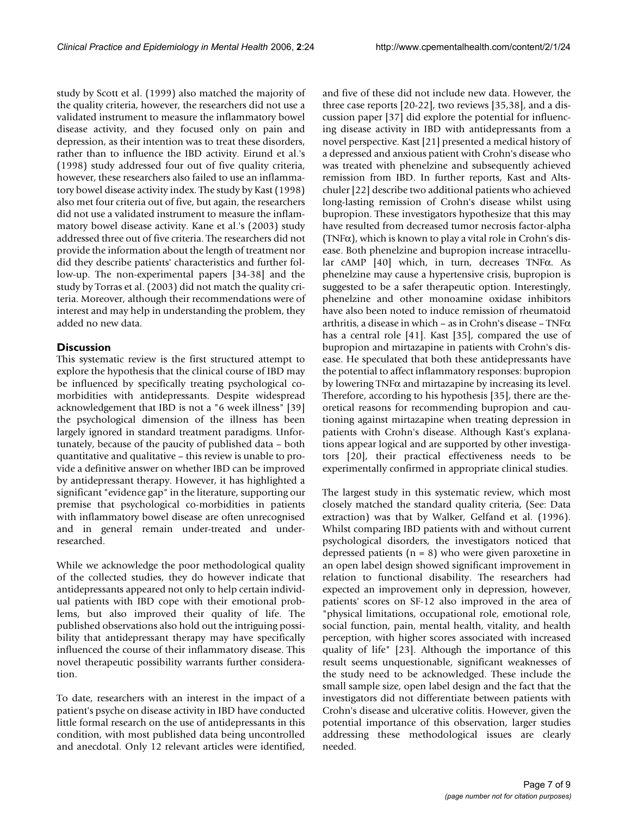study by Scott et al. (1999) also matched the majority of the quality criteria, however, the researchers did not use a validated instrument to measure the inflammatory bowel disease activity, and they focused only on pain and depression, as their intention was to treat these disorders, rather than to influence the IBD activity. Eirund et al.'s (1998) study addressed four out of five quality criteria, however, these researchers also failed to use an inflammatory bowel disease activity index. The study by Kast (1998) also met four criteria out of five, but again, the researchers did not use a validated instrument to measure the inflammatory bowel disease activity. Kane et al.'s (2003) study addressed three out of five criteria. The researchers did not provide the information about the length of treatment nor did they describe patients' characteristics and further follow-up. The non-experimental papers [34-38] and the study by Torras et al. (2003) did not match the quality criteria. Moreover, although their recommendations were of interest and may help in understanding the problem, they added no new data.

# **Discussion**

This systematic review is the first structured attempt to explore the hypothesis that the clinical course of IBD may be influenced by specifically treating psychological comorbidities with antidepressants. Despite widespread acknowledgement that IBD is not a "6 week illness" [39] the psychological dimension of the illness has been largely ignored in standard treatment paradigms. Unfortunately, because of the paucity of published data – both quantitative and qualitative – this review is unable to provide a definitive answer on whether IBD can be improved by antidepressant therapy. However, it has highlighted a significant "evidence gap" in the literature, supporting our premise that psychological co-morbidities in patients with inflammatory bowel disease are often unrecognised and in general remain under-treated and underresearched.

While we acknowledge the poor methodological quality of the collected studies, they do however indicate that antidepressants appeared not only to help certain individual patients with IBD cope with their emotional problems, but also improved their quality of life. The published observations also hold out the intriguing possibility that antidepressant therapy may have specifically influenced the course of their inflammatory disease. This novel therapeutic possibility warrants further consideration.

To date, researchers with an interest in the impact of a patient's psyche on disease activity in IBD have conducted little formal research on the use of antidepressants in this condition, with most published data being uncontrolled and anecdotal. Only 12 relevant articles were identified,

and five of these did not include new data. However, the three case reports [20-22], two reviews [35,38], and a discussion paper [37] did explore the potential for influencing disease activity in IBD with antidepressants from a novel perspective. Kast [21] presented a medical history of a depressed and anxious patient with Crohn's disease who was treated with phenelzine and subsequently achieved remission from IBD. In further reports, Kast and Altschuler [22] describe two additional patients who achieved long-lasting remission of Crohn's disease whilst using bupropion. These investigators hypothesize that this may have resulted from decreased tumor necrosis factor-alpha (TNF $\alpha$ ), which is known to play a vital role in Crohn's disease. Both phenelzine and bupropion increase intracellular cAMP [40] which, in turn, decreases TNFα. As phenelzine may cause a hypertensive crisis, bupropion is suggested to be a safer therapeutic option. Interestingly, phenelzine and other monoamine oxidase inhibitors have also been noted to induce remission of rheumatoid arthritis, a disease in which – as in Crohn's disease –  $TNF\alpha$ has a central role [41]. Kast [35], compared the use of bupropion and mirtazapine in patients with Crohn's disease. He speculated that both these antidepressants have the potential to affect inflammatory responses: bupropion by lowering TNFα and mirtazapine by increasing its level. Therefore, according to his hypothesis [35], there are theoretical reasons for recommending bupropion and cautioning against mirtazapine when treating depression in patients with Crohn's disease. Although Kast's explanations appear logical and are supported by other investigators [20], their practical effectiveness needs to be experimentally confirmed in appropriate clinical studies.

The largest study in this systematic review, which most closely matched the standard quality criteria, (See: Data extraction) was that by Walker, Gelfand et al. (1996). Whilst comparing IBD patients with and without current psychological disorders, the investigators noticed that depressed patients  $(n = 8)$  who were given paroxetine in an open label design showed significant improvement in relation to functional disability. The researchers had expected an improvement only in depression, however, patients' scores on SF-12 also improved in the area of "physical limitations, occupational role, emotional role, social function, pain, mental health, vitality, and health perception, with higher scores associated with increased quality of life" [23]. Although the importance of this result seems unquestionable, significant weaknesses of the study need to be acknowledged. These include the small sample size, open label design and the fact that the investigators did not differentiate between patients with Crohn's disease and ulcerative colitis. However, given the potential importance of this observation, larger studies addressing these methodological issues are clearly needed.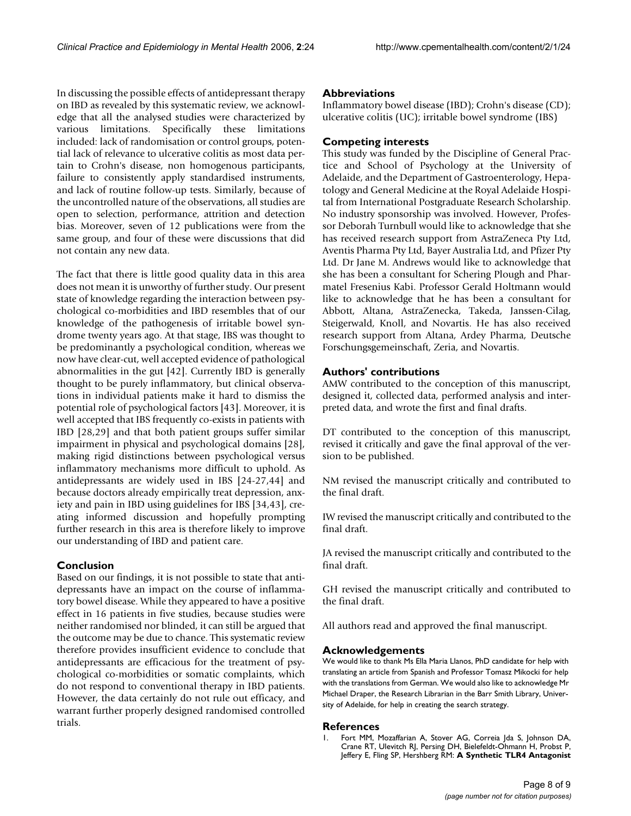In discussing the possible effects of antidepressant therapy on IBD as revealed by this systematic review, we acknowledge that all the analysed studies were characterized by various limitations. Specifically these limitations included: lack of randomisation or control groups, potential lack of relevance to ulcerative colitis as most data pertain to Crohn's disease, non homogenous participants, failure to consistently apply standardised instruments, and lack of routine follow-up tests. Similarly, because of the uncontrolled nature of the observations, all studies are open to selection, performance, attrition and detection bias. Moreover, seven of 12 publications were from the same group, and four of these were discussions that did not contain any new data.

The fact that there is little good quality data in this area does not mean it is unworthy of further study. Our present state of knowledge regarding the interaction between psychological co-morbidities and IBD resembles that of our knowledge of the pathogenesis of irritable bowel syndrome twenty years ago. At that stage, IBS was thought to be predominantly a psychological condition, whereas we now have clear-cut, well accepted evidence of pathological abnormalities in the gut [42]. Currently IBD is generally thought to be purely inflammatory, but clinical observations in individual patients make it hard to dismiss the potential role of psychological factors [43]. Moreover, it is well accepted that IBS frequently co-exists in patients with IBD [28,29] and that both patient groups suffer similar impairment in physical and psychological domains [28], making rigid distinctions between psychological versus inflammatory mechanisms more difficult to uphold. As antidepressants are widely used in IBS [24-27,44] and because doctors already empirically treat depression, anxiety and pain in IBD using guidelines for IBS [34,43], creating informed discussion and hopefully prompting further research in this area is therefore likely to improve our understanding of IBD and patient care.

#### **Conclusion**

Based on our findings, it is not possible to state that antidepressants have an impact on the course of inflammatory bowel disease. While they appeared to have a positive effect in 16 patients in five studies, because studies were neither randomised nor blinded, it can still be argued that the outcome may be due to chance. This systematic review therefore provides insufficient evidence to conclude that antidepressants are efficacious for the treatment of psychological co-morbidities or somatic complaints, which do not respond to conventional therapy in IBD patients. However, the data certainly do not rule out efficacy, and warrant further properly designed randomised controlled trials.

#### **Abbreviations**

Inflammatory bowel disease (IBD); Crohn's disease (CD); ulcerative colitis (UC); irritable bowel syndrome (IBS)

#### **Competing interests**

This study was funded by the Discipline of General Practice and School of Psychology at the University of Adelaide, and the Department of Gastroenterology, Hepatology and General Medicine at the Royal Adelaide Hospital from International Postgraduate Research Scholarship. No industry sponsorship was involved. However, Professor Deborah Turnbull would like to acknowledge that she has received research support from AstraZeneca Pty Ltd, Aventis Pharma Pty Ltd, Bayer Australia Ltd, and Pfizer Pty Ltd. Dr Jane M. Andrews would like to acknowledge that she has been a consultant for Schering Plough and Pharmatel Fresenius Kabi. Professor Gerald Holtmann would like to acknowledge that he has been a consultant for Abbott, Altana, AstraZenecka, Takeda, Janssen-Cilag, Steigerwald, Knoll, and Novartis. He has also received research support from Altana, Ardey Pharma, Deutsche Forschungsgemeinschaft, Zeria, and Novartis.

#### **Authors' contributions**

AMW contributed to the conception of this manuscript, designed it, collected data, performed analysis and interpreted data, and wrote the first and final drafts.

DT contributed to the conception of this manuscript, revised it critically and gave the final approval of the version to be published.

NM revised the manuscript critically and contributed to the final draft.

IW revised the manuscript critically and contributed to the final draft.

JA revised the manuscript critically and contributed to the final draft.

GH revised the manuscript critically and contributed to the final draft.

All authors read and approved the final manuscript.

#### **Acknowledgements**

We would like to thank Ms Ella Maria Llanos, PhD candidate for help with translating an article from Spanish and Professor Tomasz Mikocki for help with the translations from German. We would also like to acknowledge Mr Michael Draper, the Research Librarian in the Barr Smith Library, University of Adelaide, for help in creating the search strategy.

#### **References**

1. Fort MM, Mozaffarian A, Stover AG, Correia Jda S, Johnson DA, Crane RT, Ulevitch RJ, Persing DH, Bielefeldt-Ohmann H, Probst P, Jeffery E, Fling SP, Hershberg RM: **[A Synthetic TLR4 Antagonist](http://www.ncbi.nlm.nih.gov/entrez/query.fcgi?cmd=Retrieve&db=PubMed&dopt=Abstract&list_uids=15879143)**